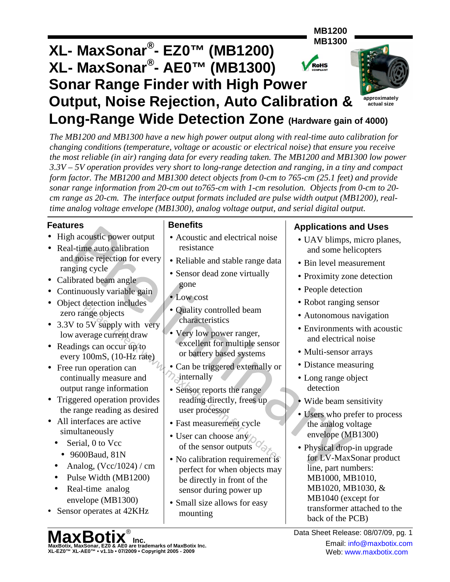

*The MB1200 and MB1300 have a new high power output along with real-time auto calibration for changing conditions (temperature, voltage or acoustic or electrical noise) that ensure you receive the most reliable (in air) ranging data for every reading taken. The MB1200 and MB1300 low power 3.3V – 5V operation provides very short to long-range detection and ranging, in a tiny and compact form factor. The MB1200 and MB1300 detect objects from 0-cm to 765-cm (25.1 feet) and provide sonar range information from 20-cm out to765-cm with 1-cm resolution. Objects from 0-cm to 20 cm range as 20-cm. The interface output formats included are pulse width output (MB1200), realtime analog voltage envelope (MB1300), analog voltage output, and serial digital output.*

### **Features**

- High acoustic power output
- Real-time auto calibration and noise rejection for every ranging cycle
- Calibrated beam angle
- Continuously variable gain
- Object detection includes zero range objects
- 3.3V to 5V supply with very low average current draw
- Readings can occur up to every 100mS, (10-Hz rate)
- Free run operation can continually measure and output range information
- Triggered operation provides the range reading as desired
- All interfaces are active simultaneously
	- Serial, 0 to Vcc
		- 9600Baud, 81N
	- Analog,  $(Vcc/1024)$  / cm
	- Pulse Width (MB1200)
	- Real-time analog envelope (MB1300)
- Sensor operates at 42KHz

### **Benefits**

- Acoustic and electrical noise resistance
- Reliable and stable range data
- Sensor dead zone virtually gone
- Low cost
- Quality controlled beam characteristics
- Very low power ranger, excellent for multiple sensor or battery based systems
- Can be triggered externally or internally
- Sensor reports the range reading directly, frees up user processor
- Fast measurement cycle
- User can choose any of the sensor outputs
- No calibration requirement is perfect for when objects may be directly in front of the sensor during power up
- Small size allows for easy mounting

## **Applications and Uses**

- UAV blimps, micro planes, and some helicopters
- Bin level measurement
- Proximity zone detection
- People detection
- Robot ranging sensor
- Autonomous navigation
- Environments with acoustic and electrical noise
- Multi-sensor arrays
- Distance measuring
- Long range object detection
- Wide beam sensitivity
- Users who prefer to process the analog voltage envelope (MB1300)
- Physical drop-in upgrade for LV-MaxSonar product line, part numbers: MB1000, MB1010, MB1020, MB1030, & MB1040 (except for transformer attached to the back of the PCB)

**MaxBotix, MaxSonar, EZ0 & AE0 are trademarks of MaxBotix Inc.**<br>XL-EZ0™ XL-AE0™ • v1.1b • 07/2009 • Copyright 2005 - 2009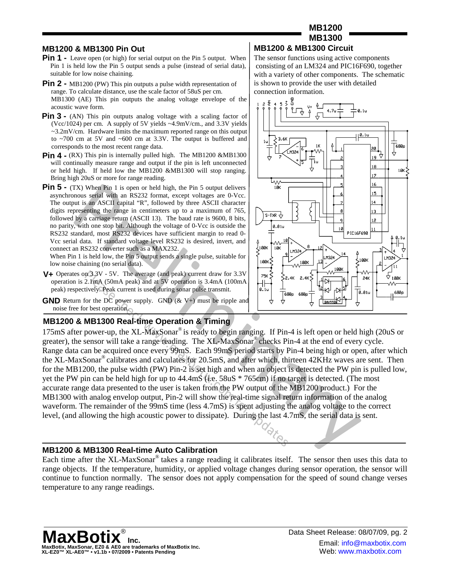#### **MB1200 & MB1300 Pin Out**

- **Pin 1 -** Leave open (or high) for serial output on the Pin 5 output. When Pin 1 is held low the Pin 5 output sends a pulse (instead of serial data), suitable for low noise chaining.
- **Pin 2 -** MB1200 (PW) This pin outputs a pulse width representation of range. To calculate distance, use the scale factor of 58uS per cm. MB1300 (AE) This pin outputs the analog voltage envelope of the acoustic wave form.
- **Pin 3 -** (AN) This pin outputs analog voltage with a scaling factor of (Vcc/1024) per cm. A supply of 5V yields ~4.9mV/cm., and 3.3V yields  $\sim$ 3.2mV/cm. Hardware limits the maximum reported range on this output to ~700 cm at 5V and ~600 cm at 3.3V. The output is buffered and corresponds to the most recent range data.
- **Pin 4 -** (RX) This pin is internally pulled high. The MB1200 &MB1300 will continually measure range and output if the pin is left unconnected or held high. If held low the MB1200 &MB1300 will stop ranging. Bring high 20uS or more for range reading.
- **Pin 5 -** (TX) When Pin 1 is open or held high, the Pin 5 output delivers asynchronous serial with an RS232 format, except voltages are 0-Vcc. The output is an ASCII capital "R", followed by three ASCII character digits representing the range in centimeters up to a maximum of 765, followed by a carriage return (ASCII 13). The baud rate is 9600, 8 bits, no parity, with one stop bit. Although the voltage of 0-Vcc is outside the RS232 standard, most RS232 devices have sufficient margin to read 0- Vcc serial data. If standard voltage level RS232 is desired, invert, and connect an RS232 converter such as a MAX232.

When Pin 1 is held low, the Pin 5 output sends a single pulse, suitable for low noise chaining (no serial data).

- **V+** Operates on 3.3V 5V. The average (and peak) current draw for 3.3V operation is 2.1mA (50mA peak) and at 5V operation is 3.4mA (100mA peak) respectively. Peak current is used during sonar pulse transmit.
- **GND** Return for the DC power supply. GND (& V+) must be ripple and noise free for best operation.

#### **MB1200 & MB1300 Real-time Operation & Timing**

175mS after power-up, the XL-MaxSonar® is ready to begin ranging. If Pin-4 is left open or held high (20uS or greater), the sensor will take a range reading. The XL-MaxSonar® checks Pin-4 at the end of every cycle. Range data can be acquired once every 99mS. Each 99mS period starts by Pin-4 being high or open, after which the XL-MaxSonar® calibrates and calculates for 20.5mS, and after which, thirteen 42KHz waves are sent. Then for the MB1200, the pulse width (PW) Pin-2 is set high and when an object is detected the PW pin is pulled low, yet the PW pin can be held high for up to 44.4mS (i.e. 58uS \* 765cm) if no target is detected. (The most accurate range data presented to the user is taken from the PW output of the MB1200 product.) For the MB1300 with analog envelop output, Pin-2 will show the real-time signal return information of the analog waveform. The remainder of the 99mS time (less 4.7mS) is spent adjusting the analog voltage to the correct level, (and allowing the high acoustic power to dissipate). During the last 4.7mS, the serial data is sent.

#### **MB1200 & MB1300 Real-time Auto Calibration**

Each time after the XL-MaxSonar® takes a range reading it calibrates itself. The sensor then uses this data to range objects. If the temperature, humidity, or applied voltage changes during sensor operation, the sensor will continue to function normally. The sensor does not apply compensation for the speed of sound change verses temperature to any range readings.



#### The sensor functions using active components consisting of an LM324 and PIC16F690, together with a variety of other components. The schematic is shown to provide the user with detailed connection information.

**MB1200**



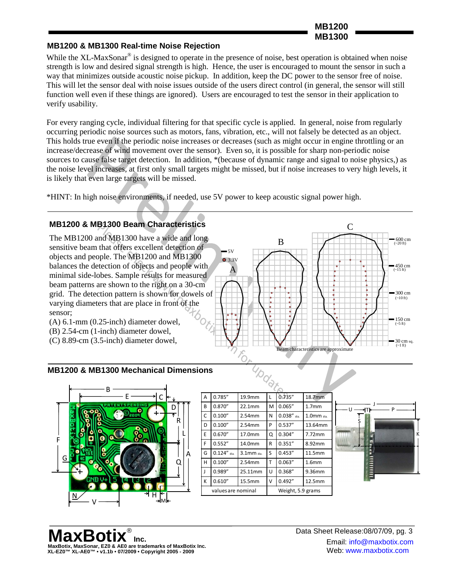**MB1200 MB1300**

#### **MB1200 & MB1300 Real-time Noise Rejection**

While the XL-MaxSonar<sup>®</sup> is designed to operate in the presence of noise, best operation is obtained when noise strength is low and desired signal strength is high. Hence, the user is encouraged to mount the sensor in such a way that minimizes outside acoustic noise pickup. In addition, keep the DC power to the sensor free of noise. This will let the sensor deal with noise issues outside of the users direct control (in general, the sensor will still function well even if these things are ignored). Users are encouraged to test the sensor in their application to verify usability.

For every ranging cycle, individual filtering for that specific cycle is applied. In general, noise from regularly occurring periodic noise sources such as motors, fans, vibration, etc., will not falsely be detected as an object. This holds true even if the periodic noise increases or decreases (such as might occur in engine throttling or an increase/decrease of wind movement over the sensor). Even so, it is possible for sharp non-periodic noise sources to cause false target detection. In addition, \*(because of dynamic range and signal to noise physics,) as the noise level increases, at first only small targets might be missed, but if noise increases to very high levels, it is likely that even large targets will be missed.

\*HINT: In high noise environments, if needed, use 5V power to keep acoustic signal power high.

#### **MB1200 & MB1300 Beam Characteristics**

The MB1200 and MB1300 have a wide and long sensitive beam that offers excellent detection of objects and people. The MB1200 and MB1300 balances the detection of objects and people with minimal side-lobes. Sample results for measured beam patterns are shown to the right on a 30-cm grid. The detection pattern is shown for dowels of varying diameters that are place in front of the sensor;



- (B) 2.54-cm (1-inch) diameter dowel,
- (C) 8.89-cm (3.5-inch) diameter dowel,



 $\overline{C}$ 

#### **MB1200 & MB1300 Mechanical Dimensions**